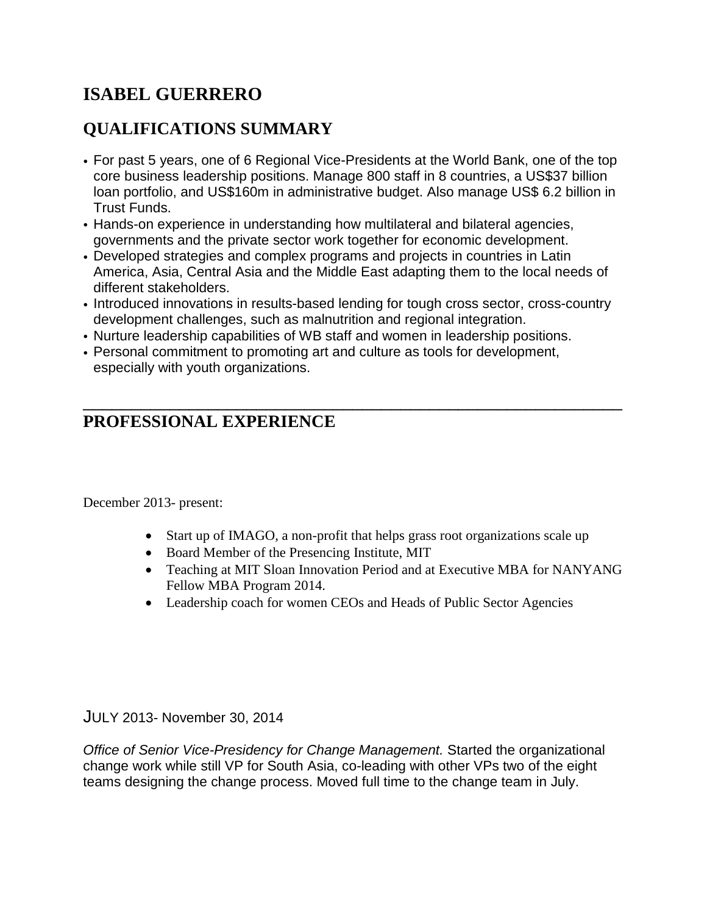# **ISABEL GUERRERO**

# **QUALIFICATIONS SUMMARY**

- For past 5 years, one of 6 Regional Vice-Presidents at the World Bank, one of the top core business leadership positions. Manage 800 staff in 8 countries, a US\$37 billion loan portfolio, and US\$160m in administrative budget. Also manage US\$ 6.2 billion in Trust Funds.
- Hands-on experience in understanding how multilateral and bilateral agencies, governments and the private sector work together for economic development.
- Developed strategies and complex programs and projects in countries in Latin America, Asia, Central Asia and the Middle East adapting them to the local needs of different stakeholders.
- Introduced innovations in results-based lending for tough cross sector, cross-country development challenges, such as malnutrition and regional integration.

\_\_\_\_\_\_\_\_\_\_\_\_\_\_\_\_\_\_\_\_\_\_\_\_\_\_\_\_\_\_\_\_\_\_\_\_\_\_\_\_\_\_\_\_\_\_\_\_\_\_\_\_\_\_\_\_

- Nurture leadership capabilities of WB staff and women in leadership positions.
- Personal commitment to promoting art and culture as tools for development, especially with youth organizations.

# **PROFESSIONAL EXPERIENCE**

December 2013- present:

- Start up of IMAGO, a non-profit that helps grass root organizations scale up
- Board Member of the Presencing Institute, MIT
- Teaching at MIT Sloan Innovation Period and at Executive MBA for NANYANG Fellow MBA Program 2014.
- Leadership coach for women CEOs and Heads of Public Sector Agencies

JULY 2013- November 30, 2014

*Office of Senior Vice-Presidency for Change Management.* Started the organizational change work while still VP for South Asia, co-leading with other VPs two of the eight teams designing the change process. Moved full time to the change team in July.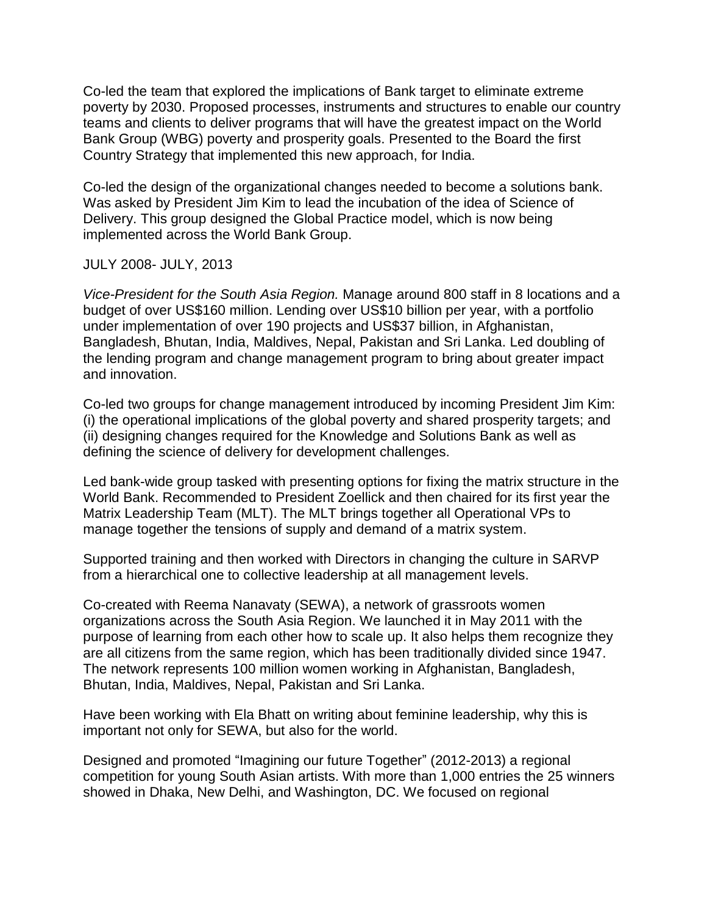Co-led the team that explored the implications of Bank target to eliminate extreme poverty by 2030. Proposed processes, instruments and structures to enable our country teams and clients to deliver programs that will have the greatest impact on the World Bank Group (WBG) poverty and prosperity goals. Presented to the Board the first Country Strategy that implemented this new approach, for India.

Co-led the design of the organizational changes needed to become a solutions bank. Was asked by President Jim Kim to lead the incubation of the idea of Science of Delivery. This group designed the Global Practice model, which is now being implemented across the World Bank Group.

#### JULY 2008- JULY, 2013

*Vice-President for the South Asia Region.* Manage around 800 staff in 8 locations and a budget of over US\$160 million. Lending over US\$10 billion per year, with a portfolio under implementation of over 190 projects and US\$37 billion, in Afghanistan, Bangladesh, Bhutan, India, Maldives, Nepal, Pakistan and Sri Lanka. Led doubling of the lending program and change management program to bring about greater impact and innovation.

Co-led two groups for change management introduced by incoming President Jim Kim: (i) the operational implications of the global poverty and shared prosperity targets; and (ii) designing changes required for the Knowledge and Solutions Bank as well as defining the science of delivery for development challenges.

Led bank-wide group tasked with presenting options for fixing the matrix structure in the World Bank. Recommended to President Zoellick and then chaired for its first year the Matrix Leadership Team (MLT). The MLT brings together all Operational VPs to manage together the tensions of supply and demand of a matrix system.

Supported training and then worked with Directors in changing the culture in SARVP from a hierarchical one to collective leadership at all management levels.

Co-created with Reema Nanavaty (SEWA), a network of grassroots women organizations across the South Asia Region. We launched it in May 2011 with the purpose of learning from each other how to scale up. It also helps them recognize they are all citizens from the same region, which has been traditionally divided since 1947. The network represents 100 million women working in Afghanistan, Bangladesh, Bhutan, India, Maldives, Nepal, Pakistan and Sri Lanka.

Have been working with Ela Bhatt on writing about feminine leadership, why this is important not only for SEWA, but also for the world.

Designed and promoted "Imagining our future Together" (2012-2013) a regional competition for young South Asian artists. With more than 1,000 entries the 25 winners showed in Dhaka, New Delhi, and Washington, DC. We focused on regional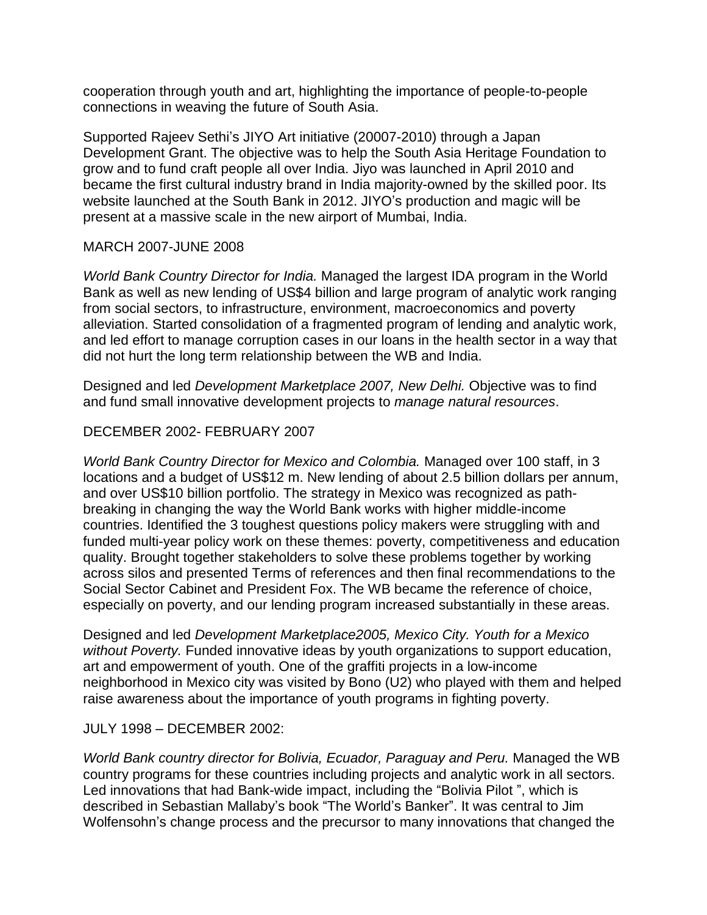cooperation through youth and art, highlighting the importance of people-to-people connections in weaving the future of South Asia.

Supported Rajeev Sethi's JIYO Art initiative (20007-2010) through a Japan Development Grant. The objective was to help the South Asia Heritage Foundation to grow and to fund craft people all over India. Jiyo was launched in April 2010 and became the first cultural industry brand in India majority-owned by the skilled poor. Its website launched at the South Bank in 2012. JIYO's production and magic will be present at a massive scale in the new airport of Mumbai, India.

#### MARCH 2007-JUNE 2008

*World Bank Country Director for India.* Managed the largest IDA program in the World Bank as well as new lending of US\$4 billion and large program of analytic work ranging from social sectors, to infrastructure, environment, macroeconomics and poverty alleviation. Started consolidation of a fragmented program of lending and analytic work, and led effort to manage corruption cases in our loans in the health sector in a way that did not hurt the long term relationship between the WB and India.

Designed and led *Development Marketplace 2007, New Delhi.* Objective was to find and fund small innovative development projects to *manage natural resources*.

#### DECEMBER 2002- FEBRUARY 2007

*World Bank Country Director for Mexico and Colombia.* Managed over 100 staff, in 3 locations and a budget of US\$12 m. New lending of about 2.5 billion dollars per annum, and over US\$10 billion portfolio. The strategy in Mexico was recognized as pathbreaking in changing the way the World Bank works with higher middle-income countries. Identified the 3 toughest questions policy makers were struggling with and funded multi-year policy work on these themes: poverty, competitiveness and education quality. Brought together stakeholders to solve these problems together by working across silos and presented Terms of references and then final recommendations to the Social Sector Cabinet and President Fox. The WB became the reference of choice, especially on poverty, and our lending program increased substantially in these areas.

Designed and led *Development Marketplace2005, Mexico City. Youth for a Mexico without Poverty.* Funded innovative ideas by youth organizations to support education, art and empowerment of youth. One of the graffiti projects in a low-income neighborhood in Mexico city was visited by Bono (U2) who played with them and helped raise awareness about the importance of youth programs in fighting poverty.

JULY 1998 – DECEMBER 2002:

*World Bank country director for Bolivia, Ecuador, Paraguay and Peru.* Managed the WB country programs for these countries including projects and analytic work in all sectors. Led innovations that had Bank-wide impact, including the "Bolivia Pilot ", which is described in Sebastian Mallaby's book "The World's Banker". It was central to Jim Wolfensohn's change process and the precursor to many innovations that changed the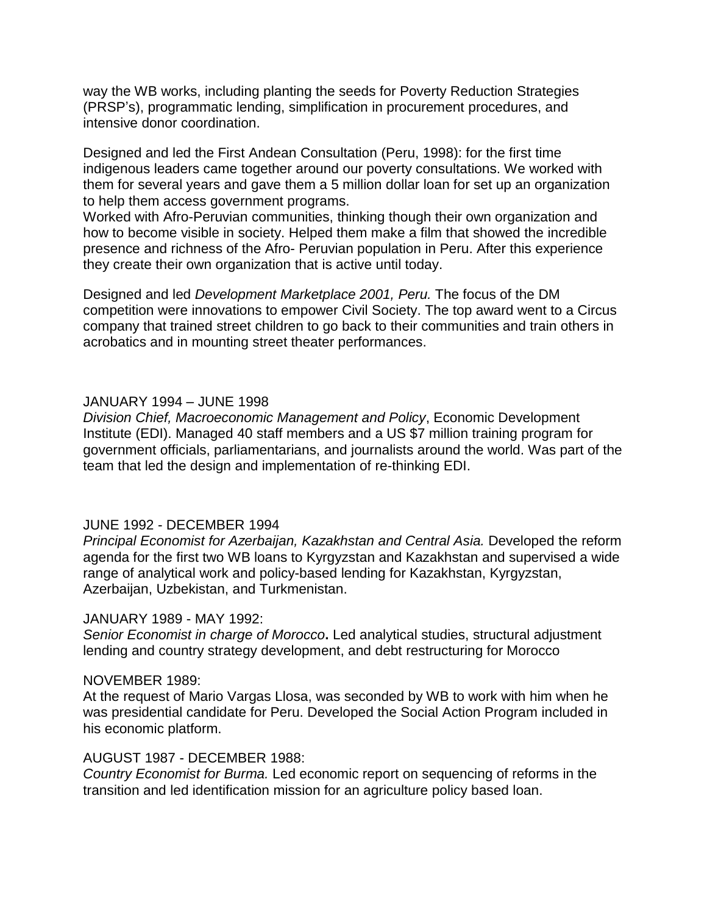way the WB works, including planting the seeds for Poverty Reduction Strategies (PRSP's), programmatic lending, simplification in procurement procedures, and intensive donor coordination.

Designed and led the First Andean Consultation (Peru, 1998): for the first time indigenous leaders came together around our poverty consultations. We worked with them for several years and gave them a 5 million dollar loan for set up an organization to help them access government programs.

Worked with Afro-Peruvian communities, thinking though their own organization and how to become visible in society. Helped them make a film that showed the incredible presence and richness of the Afro- Peruvian population in Peru. After this experience they create their own organization that is active until today.

Designed and led *Development Marketplace 2001, Peru.* The focus of the DM competition were innovations to empower Civil Society. The top award went to a Circus company that trained street children to go back to their communities and train others in acrobatics and in mounting street theater performances.

#### JANUARY 1994 – JUNE 1998

*Division Chief, Macroeconomic Management and Policy*, Economic Development Institute (EDI). Managed 40 staff members and a US \$7 million training program for government officials, parliamentarians, and journalists around the world. Was part of the team that led the design and implementation of re-thinking EDI.

#### JUNE 1992 - DECEMBER 1994

*Principal Economist for Azerbaijan, Kazakhstan and Central Asia.* Developed the reform agenda for the first two WB loans to Kyrgyzstan and Kazakhstan and supervised a wide range of analytical work and policy-based lending for Kazakhstan, Kyrgyzstan, Azerbaijan, Uzbekistan, and Turkmenistan.

#### JANUARY 1989 - MAY 1992:

*Senior Economist in charge of Morocco***.** Led analytical studies, structural adjustment lending and country strategy development, and debt restructuring for Morocco

#### NOVEMBER 1989:

At the request of Mario Vargas Llosa, was seconded by WB to work with him when he was presidential candidate for Peru. Developed the Social Action Program included in his economic platform.

#### AUGUST 1987 - DECEMBER 1988:

*Country Economist for Burma.* Led economic report on sequencing of reforms in the transition and led identification mission for an agriculture policy based loan.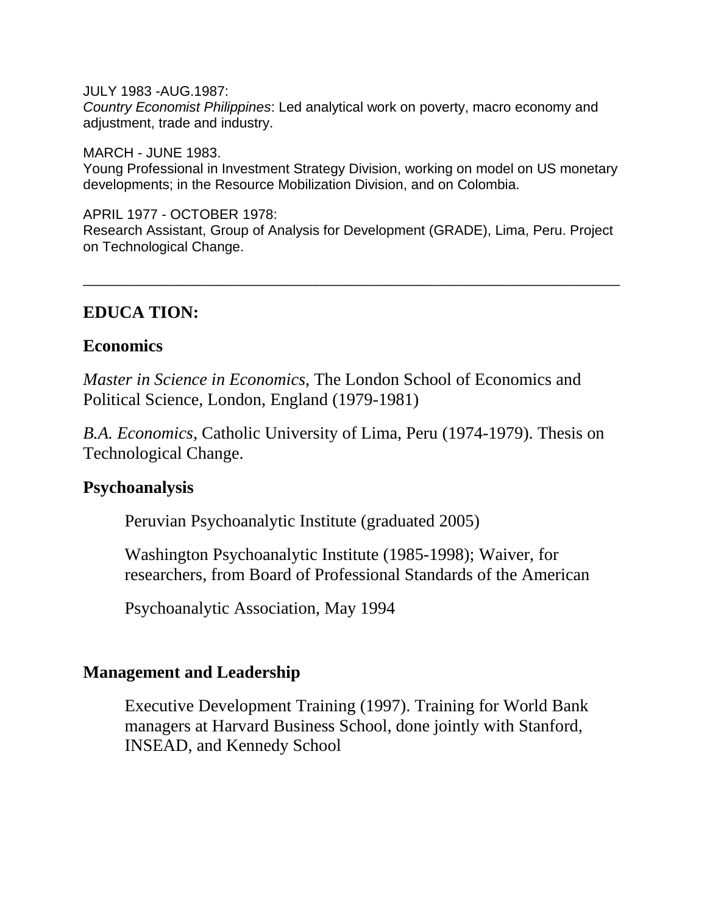JULY 1983 -AUG.1987: *Country Economist Philippines*: Led analytical work on poverty, macro economy and adjustment, trade and industry.

MARCH - JUNE 1983. Young Professional in Investment Strategy Division, working on model on US monetary developments; in the Resource Mobilization Division, and on Colombia.

APRIL 1977 - OCTOBER 1978: Research Assistant, Group of Analysis for Development (GRADE), Lima, Peru. Project on Technological Change.

\_\_\_\_\_\_\_\_\_\_\_\_\_\_\_\_\_\_\_\_\_\_\_\_\_\_\_\_\_\_\_\_\_\_\_\_\_\_\_\_\_\_\_\_\_\_\_\_\_\_\_\_\_\_\_\_\_\_\_\_\_\_

## **EDUCA TION:**

### **Economics**

*Master in Science in Economics*, The London School of Economics and Political Science, London, England (1979-1981)

*B.A. Economics*, Catholic University of Lima, Peru (1974-1979). Thesis on Technological Change.

## **Psychoanalysis**

Peruvian Psychoanalytic Institute (graduated 2005)

Washington Psychoanalytic Institute (1985-1998); Waiver, for researchers, from Board of Professional Standards of the American

Psychoanalytic Association, May 1994

## **Management and Leadership**

Executive Development Training (1997). Training for World Bank managers at Harvard Business School, done jointly with Stanford, INSEAD, and Kennedy School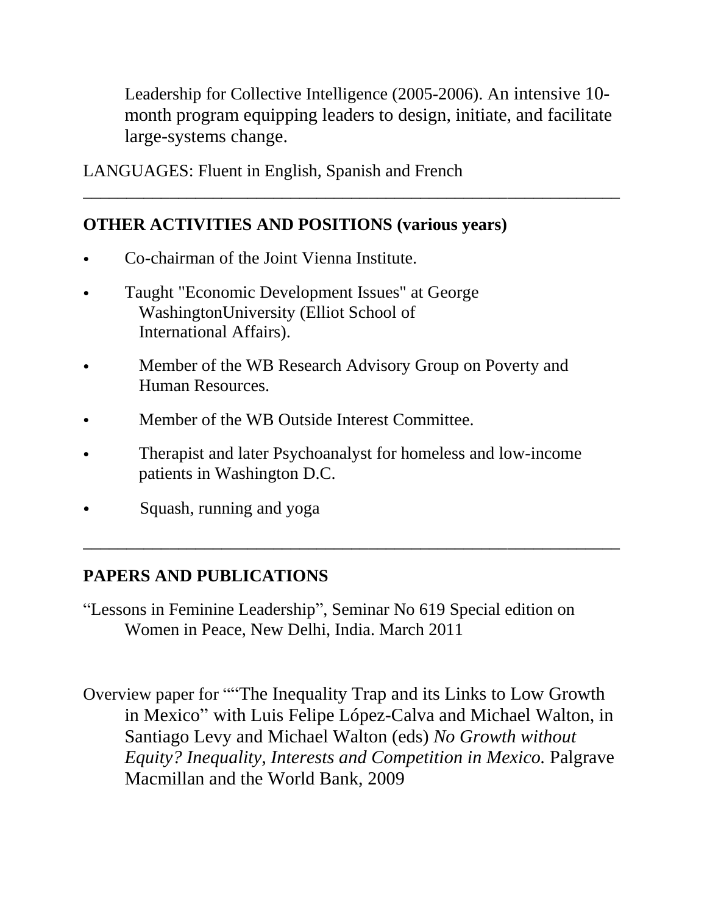Leadership for Collective Intelligence (2005-2006). An intensive 10 month program equipping leaders to design, initiate, and facilitate large-systems change.

\_\_\_\_\_\_\_\_\_\_\_\_\_\_\_\_\_\_\_\_\_\_\_\_\_\_\_\_\_\_\_\_\_\_\_\_\_\_\_\_\_\_\_\_\_\_\_\_\_\_\_\_\_\_\_\_\_\_\_\_\_\_

LANGUAGES: Fluent in English, Spanish and French

# **OTHER ACTIVITIES AND POSITIONS (various years)**

- Co-chairman of the Joint Vienna Institute.
- Taught "Economic Development Issues" at George WashingtonUniversity (Elliot School of International Affairs).
- Member of the WB Research Advisory Group on Poverty and Human Resources.
- Member of the WB Outside Interest Committee.
- Therapist and later Psychoanalyst for homeless and low-income patients in Washington D.C.

\_\_\_\_\_\_\_\_\_\_\_\_\_\_\_\_\_\_\_\_\_\_\_\_\_\_\_\_\_\_\_\_\_\_\_\_\_\_\_\_\_\_\_\_\_\_\_\_\_\_\_\_\_\_\_\_\_\_\_\_\_\_

• Squash, running and yoga

# **PAPERS AND PUBLICATIONS**

"Lessons in Feminine Leadership", Seminar No 619 Special edition on Women in Peace, New Delhi, India. March 2011

Overview paper for ""The Inequality Trap and its Links to Low Growth in Mexico" with Luis Felipe López-Calva and Michael Walton, in Santiago Levy and Michael Walton (eds) *No Growth without Equity? Inequality, Interests and Competition in Mexico.* Palgrave Macmillan and the World Bank, 2009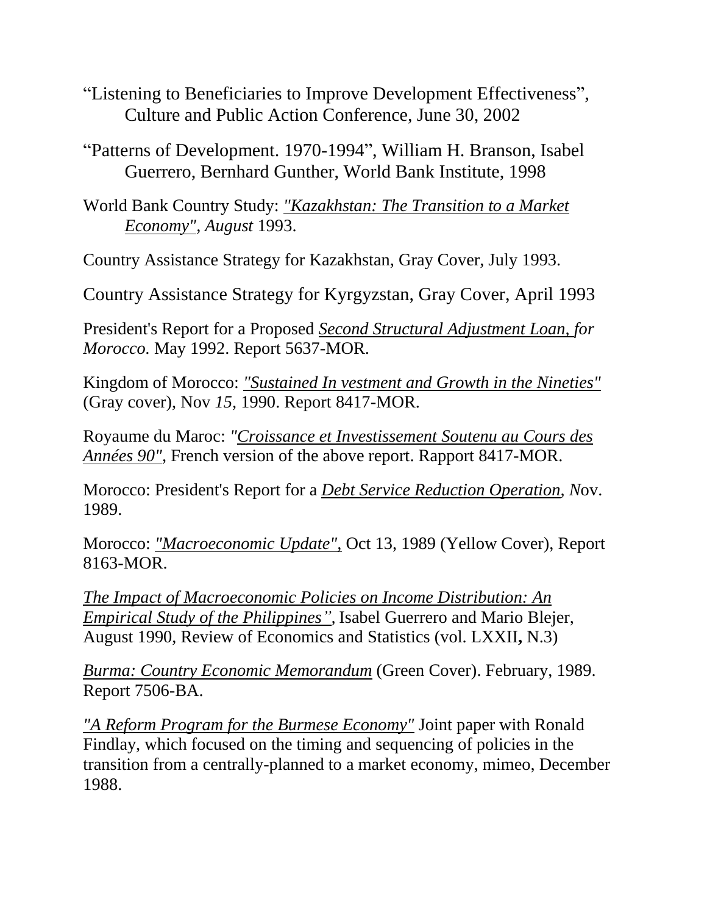- "Listening to Beneficiaries to Improve Development Effectiveness", Culture and Public Action Conference, June 30, 2002
- "Patterns of Development. 1970-1994", William H. Branson, Isabel Guerrero, Bernhard Gunther, World Bank Institute, 1998
- World Bank Country Study: *"Kazakhstan: The Transition to a Market Economy", August* 1993.

Country Assistance Strategy for Kazakhstan, Gray Cover, July 1993.

Country Assistance Strategy for Kyrgyzstan, Gray Cover, April 1993

President's Report for a Proposed *Second Structural Adjustment Loan, for Morocco.* May 1992. Report 5637-MOR.

Kingdom of Morocco: *"Sustained In vestment and Growth in the Nineties"* (Gray cover), Nov *15,* 1990. Report 8417-MOR.

Royaume du Maroc: *"Croissance et Investissement Soutenu au Cours des Années 90",* French version of the above report. Rapport 8417-MOR.

Morocco: President's Report for a *Debt Service Reduction Operation, N*ov. 1989.

Morocco: *"Macroeconomic Update",* Oct 13, 1989 (Yellow Cover), Report 8163-MOR.

*The Impact of Macroeconomic Policies on Income Distribution: An Empirical Study of the Philippines",* Isabel Guerrero and Mario Blejer, August 1990, Review of Economics and Statistics (vol. LXXII**,** N.3)

*Burma: Country Economic Memorandum* (Green Cover). February, 1989. Report 7506-BA.

*"A Reform Program for the Burmese Economy"* Joint paper with Ronald Findlay, which focused on the timing and sequencing of policies in the transition from a centrally-planned to a market economy, mimeo, December 1988.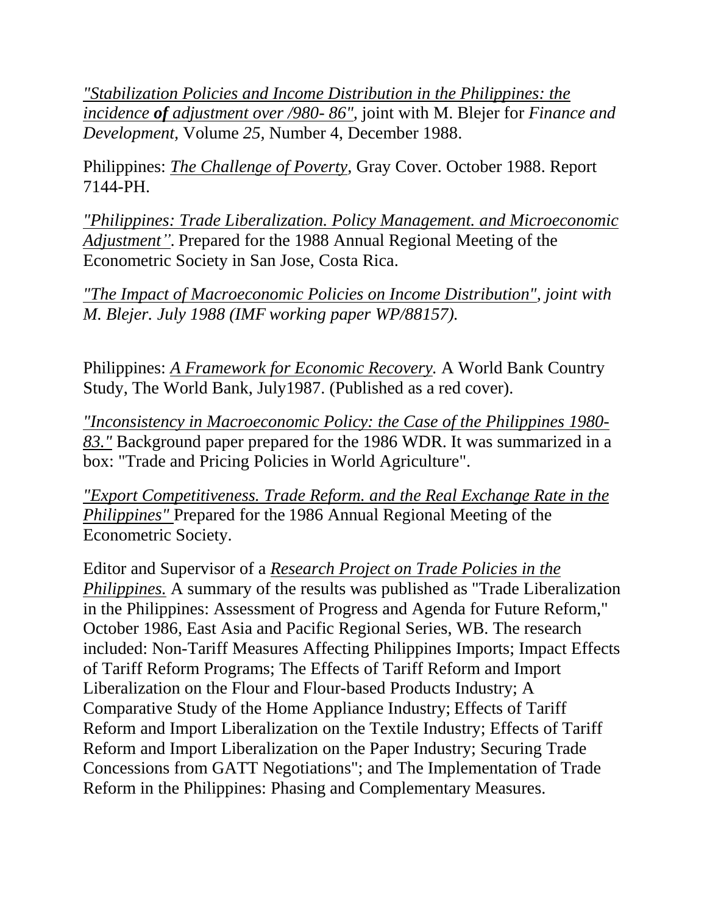*"Stabilization Policies and Income Distribution in the Philippines: the incidence of adjustment over /980- 86",* joint with M. Blejer for *Finance and Development,* Volume *25,* Number 4, December 1988.

Philippines: *The Challenge of Poverty,* Gray Cover. October 1988. Report 7144-PH.

*"Philippines: Trade Liberalization. Policy Management. and Microeconomic Adjustment".* Prepared for the 1988 Annual Regional Meeting of the Econometric Society in San Jose, Costa Rica.

*"The Impact of Macroeconomic Policies on Income Distribution", joint with M. Blejer. July 1988 (IMF working paper WP/88157).*

Philippines: *A Framework for Economic Recovery.* A World Bank Country Study, The World Bank, July1987. (Published as a red cover).

*"Inconsistency in Macroeconomic Policy: the Case of the Philippines 1980- 83."* Background paper prepared for the 1986 WDR. It was summarized in a box: "Trade and Pricing Policies in World Agriculture".

*"Export Competitiveness. Trade Reform. and the Real Exchange Rate in the Philippines"* Prepared for the 1986 Annual Regional Meeting of the Econometric Society.

Editor and Supervisor of a *Research Project on Trade Policies in the Philippines.* A summary of the results was published as "Trade Liberalization in the Philippines: Assessment of Progress and Agenda for Future Reform," October 1986, East Asia and Pacific Regional Series, WB. The research included: Non-Tariff Measures Affecting Philippines Imports; Impact Effects of Tariff Reform Programs; The Effects of Tariff Reform and Import Liberalization on the Flour and Flour-based Products Industry; A Comparative Study of the Home Appliance Industry; Effects of Tariff Reform and Import Liberalization on the Textile Industry; Effects of Tariff Reform and Import Liberalization on the Paper Industry; Securing Trade Concessions from GATT Negotiations"; and The Implementation of Trade Reform in the Philippines: Phasing and Complementary Measures.